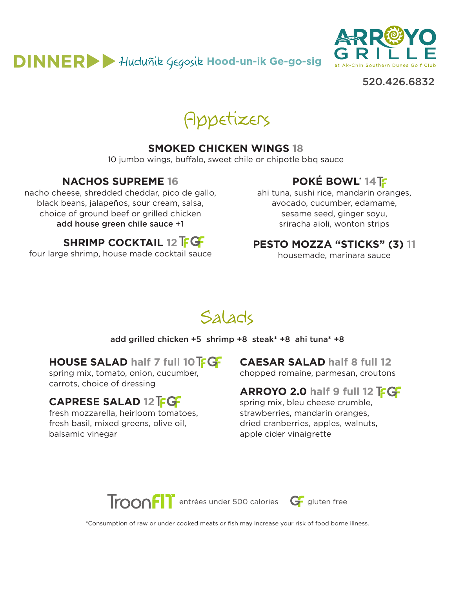# $DINNER$ <sup>U</sup> Huduñik Gegosik Hood-un-ik Ge-go-sig



520.426.6832

Appetizers

#### **SMOKED CHICKEN WINGS 18**

10 jumbo wings, buffalo, sweet chile or chipotle bbq sauce

#### **NACHOS SUPREME 16**

nacho cheese, shredded cheddar, pico de gallo, black beans, jalapeños, sour cream, salsa, choice of ground beef or grilled chicken add house green chile sauce +1

four large shrimp, house made cocktail sauce

**SHRIMP COCKTAIL 12 FGF** 

# **POKÉ BOWL\* 14**

ahi tuna, sushi rice, mandarin oranges, avocado, cucumber, edamame, sesame seed, ginger soyu, sriracha aioli, wonton strips

#### **PESTO MOZZA "STICKS" (3) 11**

housemade, marinara sauce

# Salads

#### add grilled chicken +5 shrimp +8 steak\* +8 ahi tuna\* +8

#### **HOUSE SALAD half 7 full 10 FGF**

spring mix, tomato, onion, cucumber, carrots, choice of dressing

### **CAPRESE SALAD 12**

fresh mozzarella, heirloom tomatoes, fresh basil, mixed greens, olive oil, balsamic vinegar

**CAESAR SALAD half 8 full 12** chopped romaine, parmesan, croutons

#### **ARROYO 2.0 half 9 full 12 FGF**

spring mix, bleu cheese crumble, strawberries, mandarin oranges, dried cranberries, apples, walnuts, apple cider vinaigrette



\*Consumption of raw or under cooked meats or fish may increase your risk of food borne illness.